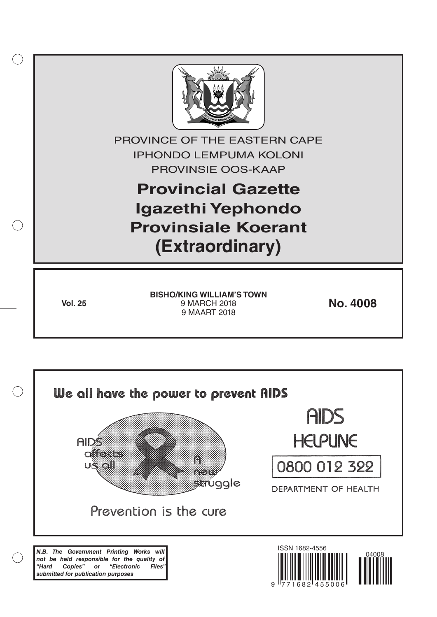

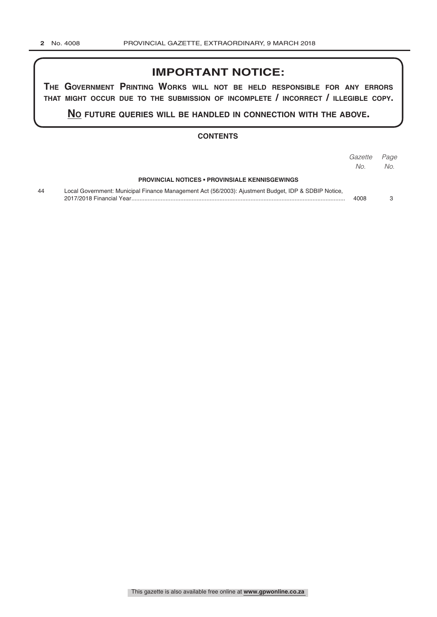# **IMPORTANT NOTICE:**

**The GovernmenT PrinTinG Works Will noT be held resPonsible for any errors ThaT miGhT occur due To The submission of incomPleTe / incorrecT / illeGible coPy.**

**no fuTure queries Will be handled in connecTion WiTh The above.**

#### **CONTENTS**

|    |                                                                                                     | Gazette<br>No. | Page<br>No. |
|----|-----------------------------------------------------------------------------------------------------|----------------|-------------|
|    | <b>PROVINCIAL NOTICES • PROVINSIALE KENNISGEWINGS</b>                                               |                |             |
| 44 | Local Government: Municipal Finance Management Act (56/2003): Ajustment Budget, IDP & SDBIP Notice, | 4008           |             |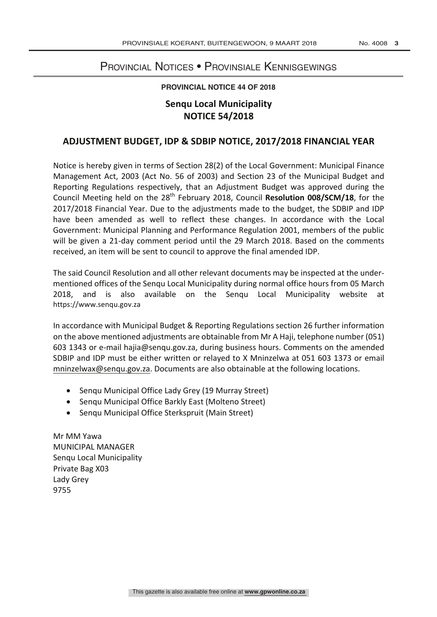### Provincial Notices • Provinsiale Kennisgewings

#### **PROVINCIAL NOTICE 44 OF 2018**

## **Senqu Local Municipality NOTICE 54/2018**

### **ADJUSTMENT BUDGET, IDP & SDBIP NOTICE, 2017/2018 FINANCIAL YEAR**

Notice is hereby given in terms of Section 28(2) of the Local Government: Municipal Finance Management Act, 2003 (Act No. 56 of 2003) and Section 23 of the Municipal Budget and Reporting Regulations respectively, that an Adjustment Budget was approved during the Council Meeting held on the 28<sup>th</sup> February 2018, Council Resolution 008/SCM/18, for the 2017/2018 Financial Year. Due to the adjustments made to the budget, the SDBIP and IDP have been amended as well to reflect these changes. In accordance with the Local Government: Municipal Planning and Performance Regulation 2001, members of the public will be given a 21-day comment period until the 29 March 2018. Based on the comments received, an item will be sent to council to approve the final amended IDP.

The said Council Resolution and all other relevant documents may be inspected at the undermentioned offices of the Senqu Local Municipality during normal office hours from 05 March 2018, and is also available on the Senqu Local Municipality website at https://www.senqu.gov.za

In accordance with Municipal Budget & Reporting Regulations section 26 further information on the above mentioned adjustments are obtainable from Mr A Haji, telephone number (051) 603 1343 or e-mail hajia@senqu.gov.za, during business hours. Comments on the amended SDBIP and IDP must be either written or relayed to X Mninzelwa at 051 603 1373 or email mninzelwax@senqu.gov.za. Documents are also obtainable at the following locations.

- Senqu Municipal Office Lady Grey (19 Murray Street)
- Senqu Municipal Office Barkly East (Molteno Street)
- Senqu Municipal Office Sterkspruit (Main Street)

Mr MM Yawa MUNICIPAL MANAGER Senqu Local Municipality Private Bag X03 Lady Grey 9755